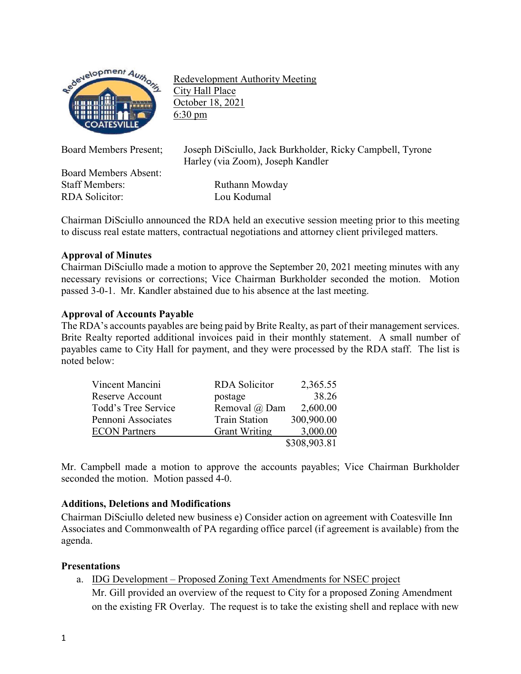

Redevelopment Authority Meeting City Hall Place October 18, 2021 6:30 pm

Board Members Present; Joseph DiSciullo, Jack Burkholder, Ricky Campbell, Tyrone Harley (via Zoom), Joseph Kandler

Board Members Absent: Staff Members: Ruthann Mowday RDA Solicitor: Lou Kodumal

Chairman DiSciullo announced the RDA held an executive session meeting prior to this meeting to discuss real estate matters, contractual negotiations and attorney client privileged matters.

# **Approval of Minutes**

Chairman DiSciullo made a motion to approve the September 20, 2021 meeting minutes with any necessary revisions or corrections; Vice Chairman Burkholder seconded the motion. Motion passed 3-0-1. Mr. Kandler abstained due to his absence at the last meeting.

## **Approval of Accounts Payable**

The RDA's accounts payables are being paid by Brite Realty, as part of their management services. Brite Realty reported additional invoices paid in their monthly statement. A small number of payables came to City Hall for payment, and they were processed by the RDA staff. The list is noted below:

| Vincent Mancini      | <b>RDA</b> Solicitor | 2,365.55     |
|----------------------|----------------------|--------------|
| Reserve Account      | postage              | 38.26        |
| Todd's Tree Service  | Removal @ Dam        | 2,600.00     |
| Pennoni Associates   | <b>Train Station</b> | 300,900.00   |
| <b>ECON</b> Partners | <b>Grant Writing</b> | 3,000.00     |
|                      |                      | \$308,903.81 |

Mr. Campbell made a motion to approve the accounts payables; Vice Chairman Burkholder seconded the motion. Motion passed 4-0.

# **Additions, Deletions and Modifications**

Chairman DiSciullo deleted new business e) Consider action on agreement with Coatesville Inn Associates and Commonwealth of PA regarding office parcel (if agreement is available) from the agenda.

### **Presentations**

a. IDG Development – Proposed Zoning Text Amendments for NSEC project

Mr. Gill provided an overview of the request to City for a proposed Zoning Amendment on the existing FR Overlay. The request is to take the existing shell and replace with new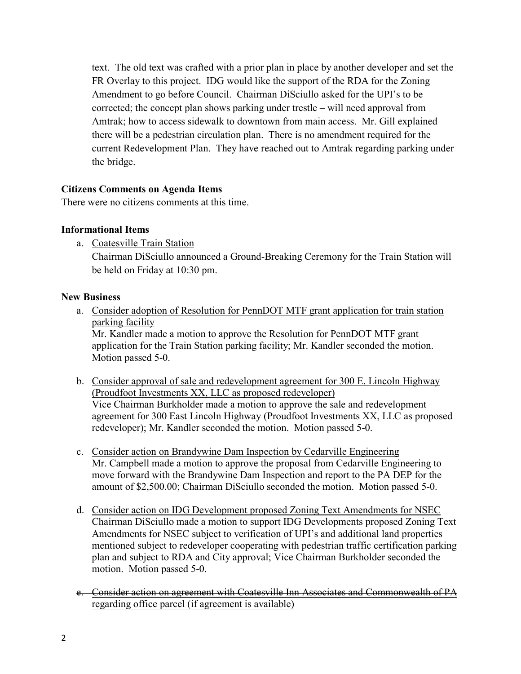text. The old text was crafted with a prior plan in place by another developer and set the FR Overlay to this project. IDG would like the support of the RDA for the Zoning Amendment to go before Council. Chairman DiSciullo asked for the UPI's to be corrected; the concept plan shows parking under trestle – will need approval from Amtrak; how to access sidewalk to downtown from main access. Mr. Gill explained there will be a pedestrian circulation plan. There is no amendment required for the current Redevelopment Plan. They have reached out to Amtrak regarding parking under the bridge.

## **Citizens Comments on Agenda Items**

There were no citizens comments at this time.

### **Informational Items**

a. Coatesville Train Station

Chairman DiSciullo announced a Ground-Breaking Ceremony for the Train Station will be held on Friday at 10:30 pm.

### **New Business**

a. Consider adoption of Resolution for PennDOT MTF grant application for train station parking facility

Mr. Kandler made a motion to approve the Resolution for PennDOT MTF grant application for the Train Station parking facility; Mr. Kandler seconded the motion. Motion passed 5-0.

- b. Consider approval of sale and redevelopment agreement for 300 E. Lincoln Highway (Proudfoot Investments XX, LLC as proposed redeveloper) Vice Chairman Burkholder made a motion to approve the sale and redevelopment agreement for 300 East Lincoln Highway (Proudfoot Investments XX, LLC as proposed redeveloper); Mr. Kandler seconded the motion. Motion passed 5-0.
- c. Consider action on Brandywine Dam Inspection by Cedarville Engineering Mr. Campbell made a motion to approve the proposal from Cedarville Engineering to move forward with the Brandywine Dam Inspection and report to the PA DEP for the amount of \$2,500.00; Chairman DiSciullo seconded the motion. Motion passed 5-0.
- d. Consider action on IDG Development proposed Zoning Text Amendments for NSEC Chairman DiSciullo made a motion to support IDG Developments proposed Zoning Text Amendments for NSEC subject to verification of UPI's and additional land properties mentioned subject to redeveloper cooperating with pedestrian traffic certification parking plan and subject to RDA and City approval; Vice Chairman Burkholder seconded the motion. Motion passed 5-0.
- e. Consider action on agreement with Coatesville Inn Associates and Commonwealth of PA regarding office parcel (if agreement is available)